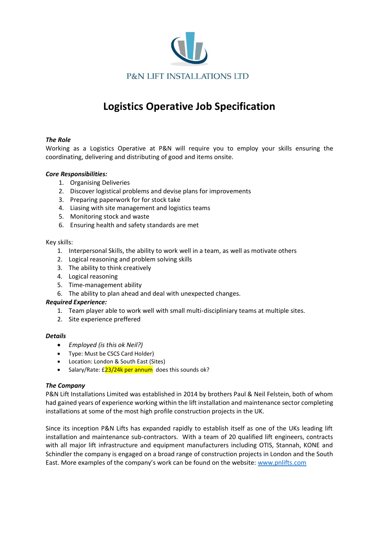

# **Logistics Operative Job Specification**

# *The Role*

Working as a Logistics Operative at P&N will require you to employ your skills ensuring the coordinating, delivering and distributing of good and items onsite.

# *Core Responsibilities:*

- 1. Organising Deliveries
- 2. Discover logistical problems and devise plans for improvements
- 3. Preparing paperwork for for stock take
- 4. Liasing with site management and logistics teams
- 5. Monitoring stock and waste
- 6. Ensuring health and safety standards are met

### Key skills:

- 1. Interpersonal Skills, the ability to work well in a team, as well as motivate others
- 2. Logical reasoning and problem solving skills
- 3. The ability to think creatively
- 4. Logical reasoning
- 5. Time-management ability
- 6. The ability to plan ahead and deal with unexpected changes.

### *Required Experience:*

- 1. Team player able to work well with small multi-discipliniary teams at multiple sites.
- 2. Site experience preffered

### *Details*

- *Employed (is this ok Neil?)*
- Type: Must be CSCS Card Holder)
- Location: London & South East (Sites)
- Salary/Rate: £23/24k per annum does this sounds ok?

### *The Company*

P&N Lift Installations Limited was established in 2014 by brothers Paul & Neil Felstein, both of whom had gained years of experience working within the lift installation and maintenance sector completing installations at some of the most high profile construction projects in the UK.

Since its inception P&N Lifts has expanded rapidly to establish itself as one of the UKs leading lift installation and maintenance sub-contractors. With a team of 20 qualified lift engineers, contracts with all major lift infrastructure and equipment manufacturers including OTIS, Stannah, KONE and Schindler the company is engaged on a broad range of construction projects in London and the South East. More examples of the company's work can be found on the website: [www.pnlifts.com](http://www.pnlifts.com/)